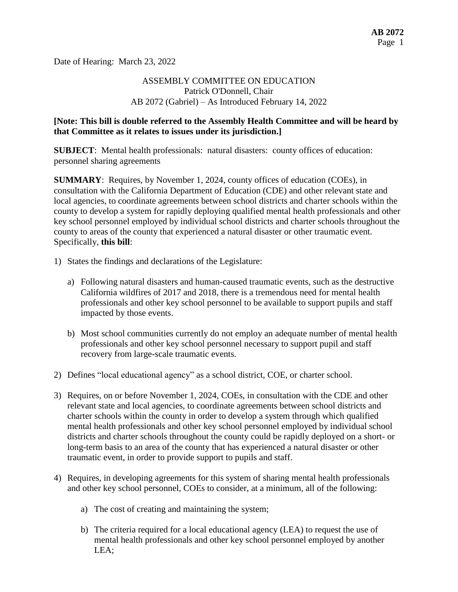Date of Hearing: March 23, 2022

# ASSEMBLY COMMITTEE ON EDUCATION Patrick O'Donnell, Chair AB 2072 (Gabriel) – As Introduced February 14, 2022

#### **[Note: This bill is double referred to the Assembly Health Committee and will be heard by that Committee as it relates to issues under its jurisdiction.]**

**SUBJECT**: Mental health professionals: natural disasters: county offices of education: personnel sharing agreements

**SUMMARY**: Requires, by November 1, 2024, county offices of education (COEs), in consultation with the California Department of Education (CDE) and other relevant state and local agencies, to coordinate agreements between school districts and charter schools within the county to develop a system for rapidly deploying qualified mental health professionals and other key school personnel employed by individual school districts and charter schools throughout the county to areas of the county that experienced a natural disaster or other traumatic event. Specifically, **this bill**:

- 1) States the findings and declarations of the Legislature:
	- a) Following natural disasters and human-caused traumatic events, such as the destructive California wildfires of 2017 and 2018, there is a tremendous need for mental health professionals and other key school personnel to be available to support pupils and staff impacted by those events.
	- b) Most school communities currently do not employ an adequate number of mental health professionals and other key school personnel necessary to support pupil and staff recovery from large-scale traumatic events.
- 2) Defines "local educational agency" as a school district, COE, or charter school.
- 3) Requires, on or before November 1, 2024, COEs, in consultation with the CDE and other relevant state and local agencies, to coordinate agreements between school districts and charter schools within the county in order to develop a system through which qualified mental health professionals and other key school personnel employed by individual school districts and charter schools throughout the county could be rapidly deployed on a short- or long-term basis to an area of the county that has experienced a natural disaster or other traumatic event, in order to provide support to pupils and staff.
- 4) Requires, in developing agreements for this system of sharing mental health professionals and other key school personnel, COEs to consider, at a minimum, all of the following:
	- a) The cost of creating and maintaining the system;
	- b) The criteria required for a local educational agency (LEA) to request the use of mental health professionals and other key school personnel employed by another LEA;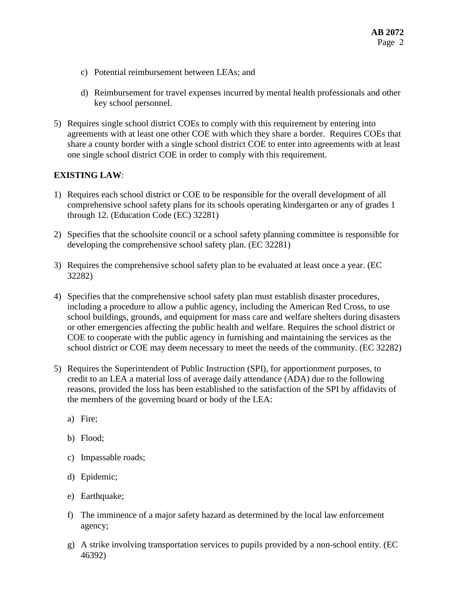- c) Potential reimbursement between LEAs; and
- d) Reimbursement for travel expenses incurred by mental health professionals and other key school personnel.
- 5) Requires single school district COEs to comply with this requirement by entering into agreements with at least one other COE with which they share a border. Requires COEs that share a county border with a single school district COE to enter into agreements with at least one single school district COE in order to comply with this requirement.

#### **EXISTING LAW**:

- 1) Requires each school district or COE to be responsible for the overall development of all comprehensive school safety plans for its schools operating kindergarten or any of grades 1 through 12. (Education Code (EC) 32281)
- 2) Specifies that the schoolsite council or a school safety planning committee is responsible for developing the comprehensive school safety plan. (EC 32281)
- 3) Requires the comprehensive school safety plan to be evaluated at least once a year. (EC 32282)
- 4) Specifies that the comprehensive school safety plan must establish disaster procedures, including a procedure to allow a public agency, including the American Red Cross, to use school buildings, grounds, and equipment for mass care and welfare shelters during disasters or other emergencies affecting the public health and welfare. Requires the school district or COE to cooperate with the public agency in furnishing and maintaining the services as the school district or COE may deem necessary to meet the needs of the community. (EC 32282)
- 5) Requires the Superintendent of Public Instruction (SPI), for apportionment purposes, to credit to an LEA a material loss of average daily attendance (ADA) due to the following reasons, provided the loss has been established to the satisfaction of the SPI by affidavits of the members of the governing board or body of the LEA:
	- a) Fire;
	- b) Flood;
	- c) Impassable roads;
	- d) Epidemic;
	- e) Earthquake;
	- f) The imminence of a major safety hazard as determined by the local law enforcement agency;
	- g) A strike involving transportation services to pupils provided by a non-school entity. (EC 46392)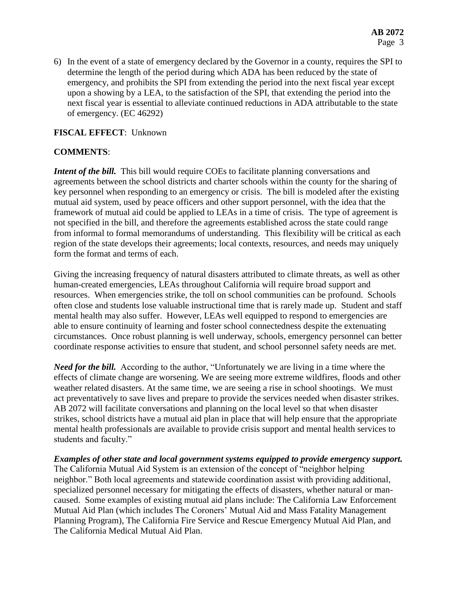6) In the event of a state of emergency declared by the Governor in a county, requires the SPI to determine the length of the period during which ADA has been reduced by the state of emergency, and prohibits the SPI from extending the period into the next fiscal year except upon a showing by a LEA, to the satisfaction of the SPI, that extending the period into the next fiscal year is essential to alleviate continued reductions in ADA attributable to the state of emergency. (EC 46292)

### **FISCAL EFFECT**: Unknown

#### **COMMENTS**:

*Intent of the bill.* This bill would require COEs to facilitate planning conversations and agreements between the school districts and charter schools within the county for the sharing of key personnel when responding to an emergency or crisis. The bill is modeled after the existing mutual aid system, used by peace officers and other support personnel, with the idea that the framework of mutual aid could be applied to LEAs in a time of crisis. The type of agreement is not specified in the bill, and therefore the agreements established across the state could range from informal to formal memorandums of understanding. This flexibility will be critical as each region of the state develops their agreements; local contexts, resources, and needs may uniquely form the format and terms of each.

Giving the increasing frequency of natural disasters attributed to climate threats, as well as other human-created emergencies, LEAs throughout California will require broad support and resources. When emergencies strike, the toll on school communities can be profound. Schools often close and students lose valuable instructional time that is rarely made up. Student and staff mental health may also suffer. However, LEAs well equipped to respond to emergencies are able to ensure continuity of learning and foster school connectedness despite the extenuating circumstances. Once robust planning is well underway, schools, emergency personnel can better coordinate response activities to ensure that student, and school personnel safety needs are met.

*Need for the bill.* According to the author, "Unfortunately we are living in a time where the effects of climate change are worsening. We are seeing more extreme wildfires, floods and other weather related disasters. At the same time, we are seeing a rise in school shootings. We must act preventatively to save lives and prepare to provide the services needed when disaster strikes. AB 2072 will facilitate conversations and planning on the local level so that when disaster strikes, school districts have a mutual aid plan in place that will help ensure that the appropriate mental health professionals are available to provide crisis support and mental health services to students and faculty."

*Examples of other state and local government systems equipped to provide emergency support.*  The California Mutual Aid System is an extension of the concept of "neighbor helping neighbor." Both local agreements and statewide coordination assist with providing additional, specialized personnel necessary for mitigating the effects of disasters, whether natural or mancaused. Some examples of existing mutual aid plans include: The California Law Enforcement Mutual Aid Plan (which includes The Coroners' Mutual Aid and Mass Fatality Management Planning Program), The California Fire Service and Rescue Emergency Mutual Aid Plan, and The California Medical Mutual Aid Plan.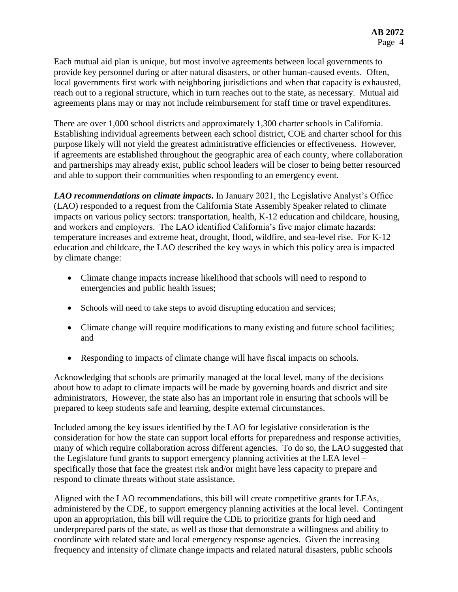Each mutual aid plan is unique, but most involve agreements between local governments to provide key personnel during or after natural disasters, or other human-caused events. Often, local governments first work with neighboring jurisdictions and when that capacity is exhausted, reach out to a regional structure, which in turn reaches out to the state, as necessary. Mutual aid agreements plans may or may not include reimbursement for staff time or travel expenditures.

There are over 1,000 school districts and approximately 1,300 charter schools in California. Establishing individual agreements between each school district, COE and charter school for this purpose likely will not yield the greatest administrative efficiencies or effectiveness. However, if agreements are established throughout the geographic area of each county, where collaboration and partnerships may already exist, public school leaders will be closer to being better resourced and able to support their communities when responding to an emergency event.

*LAO recommendations on climate impacts***.** In January 2021, the Legislative Analyst's Office (LAO) responded to a request from the California State Assembly Speaker related to climate impacts on various policy sectors: transportation, health, K-12 education and childcare, housing, and workers and employers. The LAO identified California's five major climate hazards: temperature increases and extreme heat, drought, flood, wildfire, and sea-level rise. For K-12 education and childcare, the LAO described the key ways in which this policy area is impacted by climate change:

- Climate change impacts increase likelihood that schools will need to respond to emergencies and public health issues;
- Schools will need to take steps to avoid disrupting education and services;
- Climate change will require modifications to many existing and future school facilities; and
- Responding to impacts of climate change will have fiscal impacts on schools.

Acknowledging that schools are primarily managed at the local level, many of the decisions about how to adapt to climate impacts will be made by governing boards and district and site administrators, However, the state also has an important role in ensuring that schools will be prepared to keep students safe and learning, despite external circumstances.

Included among the key issues identified by the LAO for legislative consideration is the consideration for how the state can support local efforts for preparedness and response activities, many of which require collaboration across different agencies. To do so, the LAO suggested that the Legislature fund grants to support emergency planning activities at the LEA level – specifically those that face the greatest risk and/or might have less capacity to prepare and respond to climate threats without state assistance.

Aligned with the LAO recommendations, this bill will create competitive grants for LEAs, administered by the CDE, to support emergency planning activities at the local level. Contingent upon an appropriation, this bill will require the CDE to prioritize grants for high need and underprepared parts of the state, as well as those that demonstrate a willingness and ability to coordinate with related state and local emergency response agencies. Given the increasing frequency and intensity of climate change impacts and related natural disasters, public schools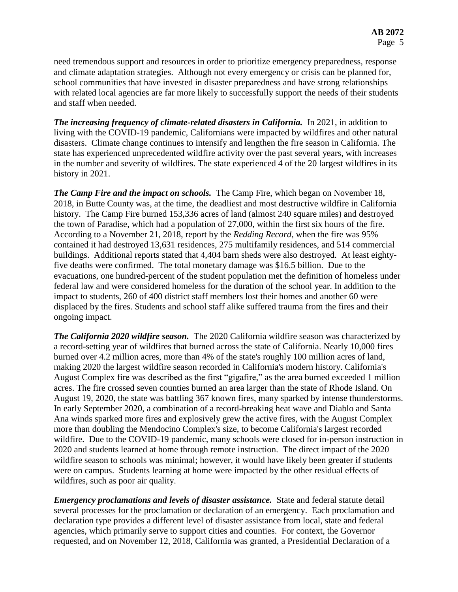need tremendous support and resources in order to prioritize emergency preparedness, response and climate adaptation strategies. Although not every emergency or crisis can be planned for, school communities that have invested in disaster preparedness and have strong relationships with related local agencies are far more likely to successfully support the needs of their students and staff when needed.

*The increasing frequency of climate-related disasters in California.* **In 2021, in addition to** living with the COVID-19 pandemic, Californians were impacted by wildfires and other natural disasters. Climate change continues to intensify and lengthen the fire season in California. The state has experienced unprecedented wildfire activity over the past several years, with increases in the number and severity of wildfires. The state experienced 4 of the 20 largest wildfires in its history in 2021.

*The Camp Fire and the impact on schools.* The Camp Fire, which began on November 18, 2018, in Butte County was, at the time, the deadliest and most destructive wildfire in California history. The Camp Fire burned 153,336 acres of land (almost 240 square miles) and destroyed the town of Paradise, which had a population of 27,000, within the first six hours of the fire. According to a November 21, 2018, report by the *Redding Record*, when the fire was 95% contained it had destroyed 13,631 residences, 275 multifamily residences, and 514 commercial buildings. Additional reports stated that 4,404 barn sheds were also destroyed. At least eightyfive deaths were confirmed. The total monetary damage was \$16.5 billion. Due to the evacuations, one hundred-percent of the student population met the definition of homeless under federal law and were considered homeless for the duration of the school year. In addition to the impact to students, 260 of 400 district staff members lost their homes and another 60 were displaced by the fires. Students and school staff alike suffered trauma from the fires and their ongoing impact.

*The California 2020 wildfire season.* The 2020 California wildfire season was characterized by a record-setting year of wildfires that burned across the state of California. Nearly 10,000 fires burned over 4.2 million acres, more than 4% of the state's roughly 100 million acres of land, making 2020 the largest wildfire season recorded in California's modern history. California's August Complex fire was described as the first "gigafire," as the area burned exceeded 1 million acres. The fire crossed seven counties burned an area larger than the state of Rhode Island. On August 19, 2020, the state was battling 367 known fires, many sparked by intense thunderstorms. In early September 2020, a combination of a record-breaking heat wave and Diablo and Santa Ana winds sparked more fires and explosively grew the active fires, with the August Complex more than doubling the Mendocino Complex's size, to become California's largest recorded wildfire. Due to the COVID-19 pandemic, many schools were closed for in-person instruction in 2020 and students learned at home through remote instruction. The direct impact of the 2020 wildfire season to schools was minimal; however, it would have likely been greater if students were on campus. Students learning at home were impacted by the other residual effects of wildfires, such as poor air quality.

*Emergency proclamations and levels of disaster assistance.* State and federal statute detail several processes for the proclamation or declaration of an emergency. Each proclamation and declaration type provides a different level of disaster assistance from local, state and federal agencies, which primarily serve to support cities and counties. For context, the Governor requested, and on November 12, 2018, California was granted, a Presidential Declaration of a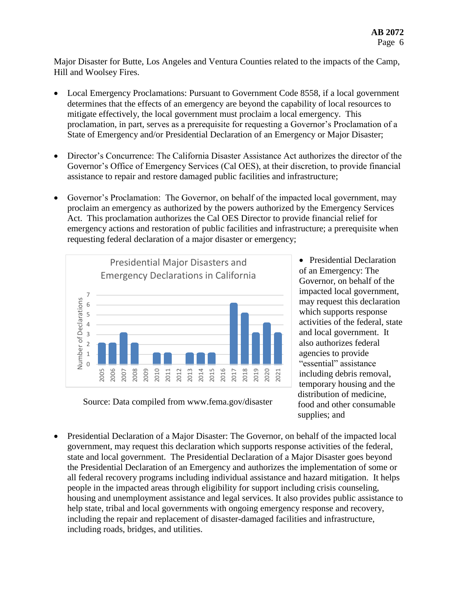Major Disaster for Butte, Los Angeles and Ventura Counties related to the impacts of the Camp, Hill and Woolsey Fires.

- Local Emergency Proclamations: Pursuant to Government Code 8558, if a local government determines that the effects of an emergency are beyond the capability of local resources to mitigate effectively, the local government must proclaim a local emergency. This proclamation, in part, serves as a prerequisite for requesting a Governor's Proclamation of a State of Emergency and/or Presidential Declaration of an Emergency or Major Disaster;
- Director's Concurrence: The California Disaster Assistance Act authorizes the director of the Governor's Office of Emergency Services (Cal OES), at their discretion, to provide financial assistance to repair and restore damaged public facilities and infrastructure;
- Governor's Proclamation: The Governor, on behalf of the impacted local government, may proclaim an emergency as authorized by the powers authorized by the Emergency Services Act. This proclamation authorizes the Cal OES Director to provide financial relief for emergency actions and restoration of public facilities and infrastructure; a prerequisite when requesting federal declaration of a major disaster or emergency;



Source: Data compiled from www.fema.gov/disaster

• Presidential Declaration of an Emergency: The Governor, on behalf of the impacted local government, may request this declaration which supports response activities of the federal, state and local government. It also authorizes federal agencies to provide "essential" assistance including debris removal, temporary housing and the distribution of medicine, food and other consumable supplies; and

 Presidential Declaration of a Major Disaster: The Governor, on behalf of the impacted local government, may request this declaration which supports response activities of the federal, state and local government. The Presidential Declaration of a Major Disaster goes beyond the Presidential Declaration of an Emergency and authorizes the implementation of some or all federal recovery programs including individual assistance and hazard mitigation. It helps people in the impacted areas through eligibility for support including crisis counseling, housing and unemployment assistance and legal services. It also provides public assistance to help state, tribal and local governments with ongoing emergency response and recovery, including the repair and replacement of disaster-damaged facilities and infrastructure, including roads, bridges, and utilities.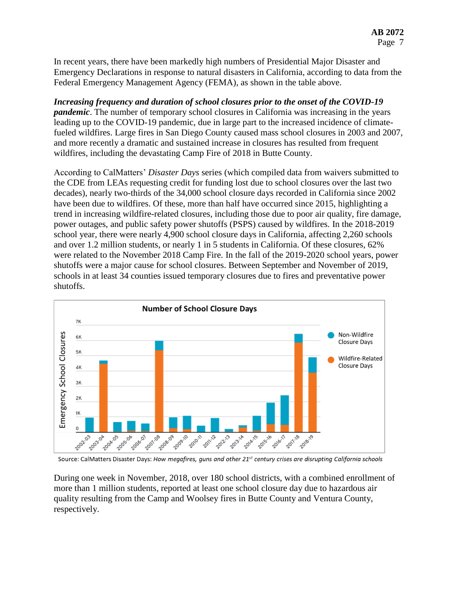In recent years, there have been markedly high numbers of Presidential Major Disaster and Emergency Declarations in response to natural disasters in California, according to data from the Federal Emergency Management Agency (FEMA), as shown in the table above.

### *Increasing frequency and duration of school closures prior to the onset of the COVID-19 pandemic*. The number of temporary school closures in California was increasing in the years leading up to the COVID-19 pandemic, due in large part to the increased incidence of climatefueled wildfires. Large fires in San Diego County caused mass school closures in 2003 and 2007, and more recently a dramatic and sustained increase in closures has resulted from frequent wildfires, including the devastating Camp Fire of 2018 in Butte County.

According to CalMatters' *Disaster Days* series (which compiled data from waivers submitted to the CDE from LEAs requesting credit for funding lost due to school closures over the last two decades), nearly two-thirds of the 34,000 school closure days recorded in California since 2002 have been due to wildfires. Of these, more than half have occurred since 2015, highlighting a trend in increasing wildfire-related closures, including those due to poor air quality, fire damage, power outages, and public safety power shutoffs (PSPS) caused by wildfires. In the 2018-2019 school year, there were nearly 4,900 school closure days in California, affecting 2,260 schools and over 1.2 million students, or nearly 1 in 5 students in California. Of these closures, 62% were related to the November 2018 Camp Fire. In the fall of the 2019-2020 school years, power shutoffs were a major cause for school closures. Between September and November of 2019, schools in at least 34 counties issued temporary closures due to fires and preventative power shutoffs.



Source: CalMatters Disaster Days: How megafires, guns and other 21st century crises are disrupting California schools

During one week in November, 2018, over 180 school districts, with a combined enrollment of more than 1 million students, reported at least one school closure day due to hazardous air quality resulting from the Camp and Woolsey fires in Butte County and Ventura County, respectively.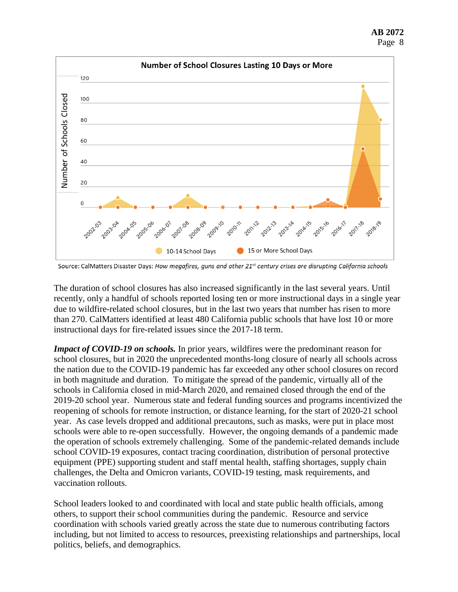



Source: CalMatters Disaster Days: How megafires, guns and other 21<sup>st</sup> century crises are disrupting California schools

The duration of school closures has also increased significantly in the last several years. Until recently, only a handful of schools reported losing ten or more instructional days in a single year due to wildfire-related school closures, but in the last two years that number has risen to more than 270. CalMatters identified at least 480 California public schools that have lost 10 or more instructional days for fire-related issues since the 2017-18 term.

*Impact of COVID-19 on schools.* In prior years, wildfires were the predominant reason for school closures, but in 2020 the unprecedented months-long closure of nearly all schools across the nation due to the COVID-19 pandemic has far exceeded any other school closures on record in both magnitude and duration. To mitigate the spread of the pandemic, virtually all of the schools in California closed in mid-March 2020, and remained closed through the end of the 2019-20 school year. Numerous state and federal funding sources and programs incentivized the reopening of schools for remote instruction, or distance learning, for the start of 2020-21 school year. As case levels dropped and additional precautons, such as masks, were put in place most schools were able to re-open successfully. However, the ongoing demands of a pandemic made the operation of schools extremely challenging. Some of the pandemic-related demands include school COVID-19 exposures, contact tracing coordination, distribution of personal protective equipment (PPE) supporting student and staff mental health, staffing shortages, supply chain challenges, the Delta and Omicron variants, COVID-19 testing, mask requirements, and vaccination rollouts.

School leaders looked to and coordinated with local and state public health officials, among others, to support their school communities during the pandemic. Resource and service coordination with schools varied greatly across the state due to numerous contributing factors including, but not limited to access to resources, preexisting relationships and partnerships, local politics, beliefs, and demographics.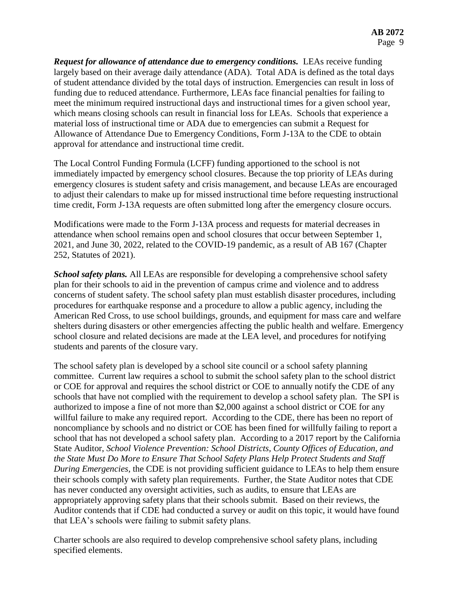*Request for allowance of attendance due to emergency conditions.* LEAs receive funding largely based on their average daily attendance (ADA). Total ADA is defined as the total days of student attendance divided by the total days of instruction. Emergencies can result in loss of funding due to reduced attendance. Furthermore, LEAs face financial penalties for failing to meet the minimum required instructional days and instructional times for a given school year, which means closing schools can result in financial loss for LEAs. Schools that experience a material loss of instructional time or ADA due to emergencies can submit a Request for Allowance of Attendance Due to Emergency Conditions, Form J-13A to the CDE to obtain approval for attendance and instructional time credit.

The Local Control Funding Formula (LCFF) funding apportioned to the school is not immediately impacted by emergency school closures. Because the top priority of LEAs during emergency closures is student safety and crisis management, and because LEAs are encouraged to adjust their calendars to make up for missed instructional time before requesting instructional time credit, Form J-13A requests are often submitted long after the emergency closure occurs.

Modifications were made to the Form J-13A process and requests for material decreases in attendance when school remains open and school closures that occur between September 1, 2021, and June 30, 2022, related to the COVID-19 pandemic, as a result of AB 167 (Chapter 252, Statutes of 2021).

*School safety plans.* All LEAs are responsible for developing a comprehensive school safety plan for their schools to aid in the prevention of campus crime and violence and to address concerns of student safety. The school safety plan must establish disaster procedures, including procedures for earthquake response and a procedure to allow a public agency, including the American Red Cross, to use school buildings, grounds, and equipment for mass care and welfare shelters during disasters or other emergencies affecting the public health and welfare. Emergency school closure and related decisions are made at the LEA level, and procedures for notifying students and parents of the closure vary.

The school safety plan is developed by a school site council or a school safety planning committee. Current law requires a school to submit the school safety plan to the school district or COE for approval and requires the school district or COE to annually notify the CDE of any schools that have not complied with the requirement to develop a school safety plan. The SPI is authorized to impose a fine of not more than \$2,000 against a school district or COE for any willful failure to make any required report. According to the CDE, there has been no report of noncompliance by schools and no district or COE has been fined for willfully failing to report a school that has not developed a school safety plan. According to a 2017 report by the California State Auditor, *School Violence Prevention: School Districts, County Offices of Education, and the State Must Do More to Ensure That School Safety Plans Help Protect Students and Staff During Emergencies,* the CDE is not providing sufficient guidance to LEAs to help them ensure their schools comply with safety plan requirements. Further, the State Auditor notes that CDE has never conducted any oversight activities, such as audits, to ensure that LEAs are appropriately approving safety plans that their schools submit. Based on their reviews, the Auditor contends that if CDE had conducted a survey or audit on this topic, it would have found that LEA's schools were failing to submit safety plans.

Charter schools are also required to develop comprehensive school safety plans, including specified elements.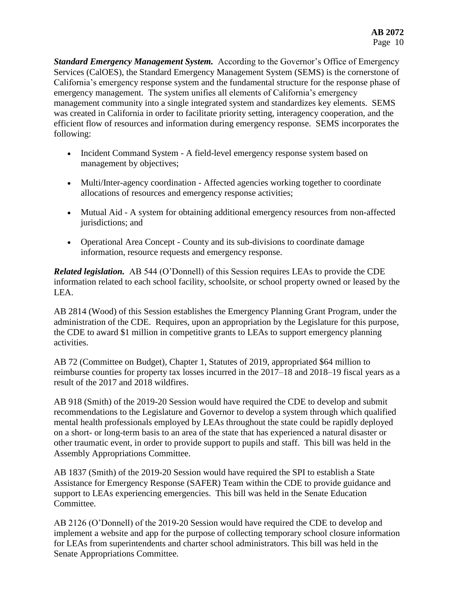*Standard Emergency Management System.* According to the Governor's Office of Emergency Services (CalOES), the Standard Emergency Management System (SEMS) is the cornerstone of California's emergency response system and the fundamental structure for the response phase of emergency management. The system unifies all elements of California's emergency management community into a single integrated system and standardizes key elements. SEMS was created in California in order to facilitate priority setting, interagency cooperation, and the efficient flow of resources and information during emergency response. SEMS incorporates the following:

- Incident Command System A field-level emergency response system based on management by objectives;
- Multi/Inter-agency coordination Affected agencies working together to coordinate allocations of resources and emergency response activities;
- Mutual Aid A system for obtaining additional emergency resources from non-affected jurisdictions; and
- Operational Area Concept County and its sub-divisions to coordinate damage information, resource requests and emergency response.

*Related legislation.* AB 544 (O'Donnell) of this Session requires LEAs to provide the CDE information related to each school facility, schoolsite, or school property owned or leased by the LEA.

AB 2814 (Wood) of this Session establishes the Emergency Planning Grant Program, under the administration of the CDE. Requires, upon an appropriation by the Legislature for this purpose, the CDE to award \$1 million in competitive grants to LEAs to support emergency planning activities.

AB 72 (Committee on Budget), Chapter 1, Statutes of 2019, appropriated \$64 million to reimburse counties for property tax losses incurred in the 2017–18 and 2018–19 fiscal years as a result of the 2017 and 2018 wildfires.

AB 918 (Smith) of the 2019-20 Session would have required the CDE to develop and submit recommendations to the Legislature and Governor to develop a system through which qualified mental health professionals employed by LEAs throughout the state could be rapidly deployed on a short- or long-term basis to an area of the state that has experienced a natural disaster or other traumatic event, in order to provide support to pupils and staff. This bill was held in the Assembly Appropriations Committee.

AB 1837 (Smith) of the 2019-20 Session would have required the SPI to establish a State Assistance for Emergency Response (SAFER) Team within the CDE to provide guidance and support to LEAs experiencing emergencies. This bill was held in the Senate Education Committee.

AB 2126 (O'Donnell) of the 2019-20 Session would have required the CDE to develop and implement a website and app for the purpose of collecting temporary school closure information for LEAs from superintendents and charter school administrators. This bill was held in the Senate Appropriations Committee.